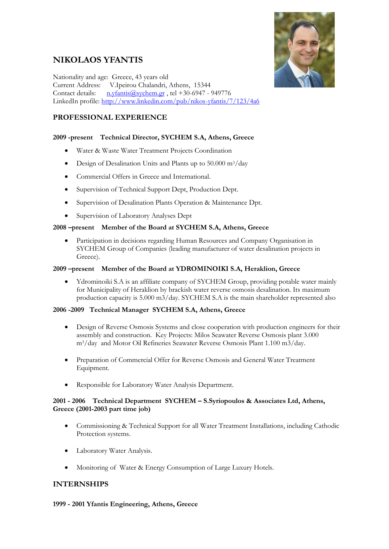# **NIKOLAOS YFANTIS**



Nationality and age: Greece, 43 years old Current Address: V.Ipeirou Chalandri, Athens, 15344 Contact details:  $n.vfants@svchem.gr$ , tel +30-6947 - 949776 LinkedIn profile:<http://www.linkedin.com/pub/nikos-yfantis/7/123/4a6>

# **PROFESSIONAL EXPERIENCE**

# **2009 -present Technical Director, SYCHEM S.A, Athens, Greece**

- Water & Waste Water Treatment Projects Coordination
- Design of Desalination Units and Plants up to 50.000 m3/day
- Commercial Offers in Greece and International.
- Supervision of Technical Support Dept, Production Dept.
- Supervision of Desalination Plants Operation & Maintenance Dpt.
- Supervision of Laboratory Analyses Dept

## **2008 –present Member of the Board at SYCHEM S.A, Athens, Greece**

Participation in decisions regarding Human Resources and Company Organisation in SYCHEM Group of Companies (leading manufacturer of water desalination projects in Greece).

#### **2009 –present Member of the Board at YDROMINOIKI S.A, Heraklion, Greece**

• Ydrominoiki S.A is an affiliate company of SYCHEM Group, providing potable water mainly for Municipality of Heraklion by brackish water reverse osmosis desalination. Its maximum production capacity is 5.000 m3/day. SYCHEM S.A is the main shareholder represented also

#### **2006 -2009 Technical Manager SYCHEM S.A, Athens, Greece**

- Design of Reverse Osmosis Systems and close cooperation with production engineers for their assembly and construction. Key Projects: Milos Seawater Reverse Osmosis plant 3.000 m3/day and Motor Oil Refineries Seawater Reverse Osmosis Plant 1.100 m3/day.
- Preparation of Commercial Offer for Reverse Osmosis and General Water Treatment Equipment.
- Responsible for Laboratory Water Analysis Department.

#### **2001 - 2006 Technical Department SYCHEM – S.Syriopoulos & Associates Ltd, Athens, Greece (2001-2003 part time job)**

- Commissioning & Technical Support for all Water Treatment Installations, including Cathodic Protection systems.
- Laboratory Water Analysis.
- Monitoring of Water & Energy Consumption of Large Luxury Hotels.

# **INTERNSHIPS**

#### **1999 - 2001 Yfantis Engineering, Athens, Greece**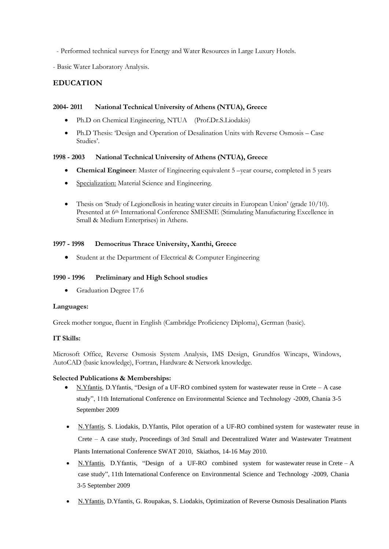- Performed technical surveys for Energy and Water Resources in Large Luxury Hotels.

- Basic Water Laboratory Analysis.

# **EDUCATION**

#### **2004- 2011 National Technical University of Athens (NTUA), Greece**

- Ph.D on Chemical Engineering, NTUA (Prof.Dr.S.Liodakis)
- Ph.D Thesis: 'Design and Operation of Desalination Units with Reverse Osmosis Case Studies'.

#### **1998 - 2003 National Technical University of Athens (NTUA), Greece**

- **Chemical Engineer**: Master of Engineering equivalent 5 –year course, completed in 5 years
- Specialization: Material Science and Engineering.
- Thesis on 'Study of Legionellosis in heating water circuits in European Union' (grade 10/10). Presented at 6<sup>th</sup> International Conference SMESME (Stimulating Manufacturing Excellence in Small & Medium Enterprises) in Athens.

## **1997 - 1998 Democritus Thrace University, Xanthi, Greece**

• Student at the Department of Electrical & Computer Engineering

### **1990 - 1996 Preliminary and High School studies**

• Graduation Degree 17.6

#### **Languages:**

Greek mother tongue, fluent in English (Cambridge Proficiency Diploma), German (basic).

#### **IT Skills:**

Microsoft Office, Reverse Osmosis System Analysis, IMS Design, Grundfos Wincaps, Windows, AutoCAD (basic knowledge), Fortran, Hardware & Network knowledge.

#### **Selected Publications & Memberships:**

- Ν.Yfantis, D.Yfantis, "Design of a UF-RO combined system for wastewater reuse in Crete A case study", 11th International Conference on Environmental Science and Technology -2009, Chania 3-5 September 2009
- Ν.Yfantis, S. Liodakis, D.Yfantis, Pilot operation of a UF-RO combined system for wastewater reuse in Crete – A case study, Proceedings of 3rd Small and Decentralized Water and Wastewater Treatment Plants International Conference SWAT 2010, Skiathos, 14-16 May 2010.
- Ν.Yfantis, D.Yfantis, "Design of a UF-RO combined system for wastewater reuse in Crete A case study", 11th International Conference on Environmental Science and Technology -2009, Chania 3-5 September 2009
- Ν.Yfantis, D.Yfantis, G. Roupakas, S. Liodakis, Optimization of Reverse Osmosis Desalination Plants